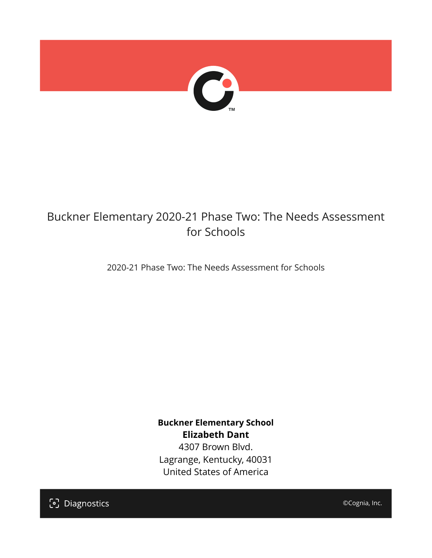

## Buckner Elementary 2020-21 Phase Two: The Needs Assessment for Schools

2020-21 Phase Two: The Needs Assessment for Schools

**Buckner Elementary School Elizabeth Dant** 4307 Brown Blvd.

Lagrange, Kentucky, 40031 United States of America

[၁] Diagnostics

©Cognia, Inc.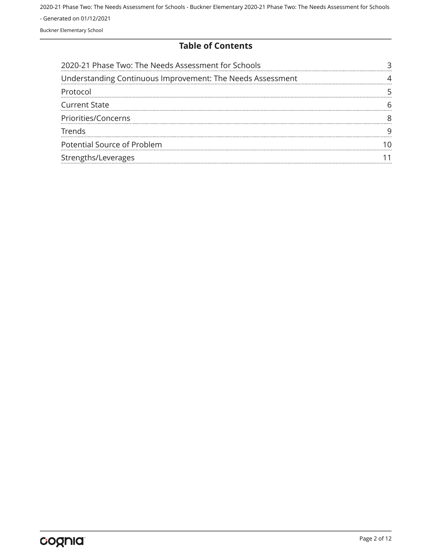#### **Table of Contents**

| 2020-21 Phase Two: The Needs Assessment for Schools        |  |
|------------------------------------------------------------|--|
| Understanding Continuous Improvement: The Needs Assessment |  |
| Protocol                                                   |  |
| <b>Current State</b>                                       |  |
| Priorities/Concerns                                        |  |
| Trends                                                     |  |
| Potential Source of Problem                                |  |
| Strengths/Leverages                                        |  |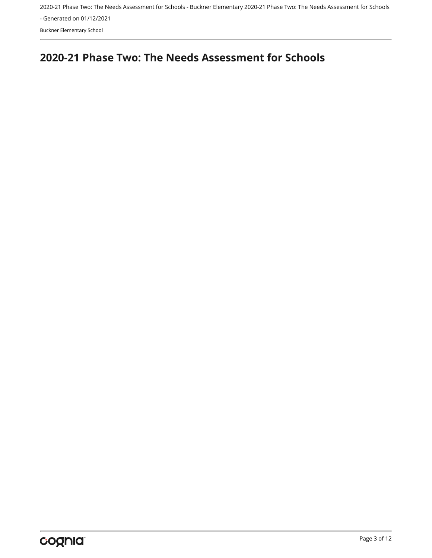2020-21 Phase Two: The Needs Assessment for Schools - Buckner Elementary 2020-21 Phase Two: The Needs Assessment for Schools

- Generated on 01/12/2021

Buckner Elementary School

## <span id="page-2-0"></span>**2020-21 Phase Two: The Needs Assessment for Schools**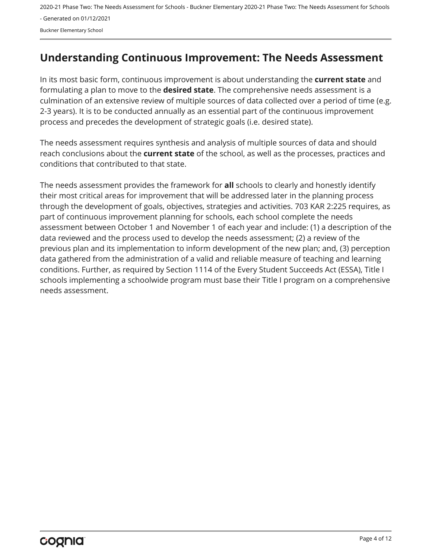## <span id="page-3-0"></span>**Understanding Continuous Improvement: The Needs Assessment**

In its most basic form, continuous improvement is about understanding the **current state** and formulating a plan to move to the **desired state**. The comprehensive needs assessment is a culmination of an extensive review of multiple sources of data collected over a period of time (e.g. 2-3 years). It is to be conducted annually as an essential part of the continuous improvement process and precedes the development of strategic goals (i.e. desired state).

The needs assessment requires synthesis and analysis of multiple sources of data and should reach conclusions about the **current state** of the school, as well as the processes, practices and conditions that contributed to that state.

The needs assessment provides the framework for **all** schools to clearly and honestly identify their most critical areas for improvement that will be addressed later in the planning process through the development of goals, objectives, strategies and activities. 703 KAR 2:225 requires, as part of continuous improvement planning for schools, each school complete the needs assessment between October 1 and November 1 of each year and include: (1) a description of the data reviewed and the process used to develop the needs assessment; (2) a review of the previous plan and its implementation to inform development of the new plan; and, (3) perception data gathered from the administration of a valid and reliable measure of teaching and learning conditions. Further, as required by Section 1114 of the Every Student Succeeds Act (ESSA), Title I schools implementing a schoolwide program must base their Title I program on a comprehensive needs assessment.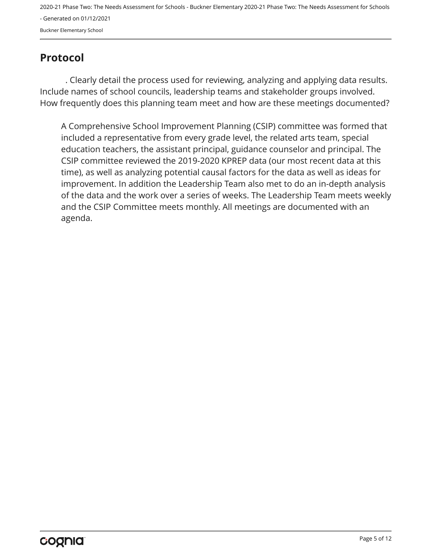<span id="page-4-0"></span>**Protocol**

. Clearly detail the process used for reviewing, analyzing and applying data results. Include names of school councils, leadership teams and stakeholder groups involved. How frequently does this planning team meet and how are these meetings documented?

A Comprehensive School Improvement Planning (CSIP) committee was formed that included a representative from every grade level, the related arts team, special education teachers, the assistant principal, guidance counselor and principal. The CSIP committee reviewed the 2019-2020 KPREP data (our most recent data at this time), as well as analyzing potential causal factors for the data as well as ideas for improvement. In addition the Leadership Team also met to do an in-depth analysis of the data and the work over a series of weeks. The Leadership Team meets weekly and the CSIP Committee meets monthly. All meetings are documented with an agenda.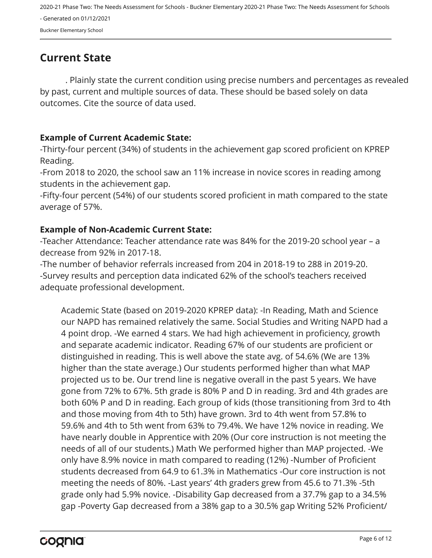## <span id="page-5-0"></span>**Current State**

. Plainly state the current condition using precise numbers and percentages as revealed by past, current and multiple sources of data. These should be based solely on data outcomes. Cite the source of data used.

#### **Example of Current Academic State:**

-Thirty-four percent (34%) of students in the achievement gap scored proficient on KPREP Reading.

-From 2018 to 2020, the school saw an 11% increase in novice scores in reading among students in the achievement gap.

-Fifty-four percent (54%) of our students scored proficient in math compared to the state average of 57%.

#### **Example of Non-Academic Current State:**

-Teacher Attendance: Teacher attendance rate was 84% for the 2019-20 school year – a decrease from 92% in 2017-18.

-The number of behavior referrals increased from 204 in 2018-19 to 288 in 2019-20. -Survey results and perception data indicated 62% of the school's teachers received adequate professional development.

Academic State (based on 2019-2020 KPREP data): -In Reading, Math and Science our NAPD has remained relatively the same. Social Studies and Writing NAPD had a 4 point drop. -We earned 4 stars. We had high achievement in proficiency, growth and separate academic indicator. Reading 67% of our students are proficient or distinguished in reading. This is well above the state avg. of 54.6% (We are 13% higher than the state average.) Our students performed higher than what MAP projected us to be. Our trend line is negative overall in the past 5 years. We have gone from 72% to 67%. 5th grade is 80% P and D in reading. 3rd and 4th grades are both 60% P and D in reading. Each group of kids (those transitioning from 3rd to 4th and those moving from 4th to 5th) have grown. 3rd to 4th went from 57.8% to 59.6% and 4th to 5th went from 63% to 79.4%. We have 12% novice in reading. We have nearly double in Apprentice with 20% (Our core instruction is not meeting the needs of all of our students.) Math We performed higher than MAP projected. -We only have 8.9% novice in math compared to reading (12%) -Number of Proficient students decreased from 64.9 to 61.3% in Mathematics -Our core instruction is not meeting the needs of 80%. -Last years' 4th graders grew from 45.6 to 71.3% -5th grade only had 5.9% novice. -Disability Gap decreased from a 37.7% gap to a 34.5% gap -Poverty Gap decreased from a 38% gap to a 30.5% gap Writing 52% Proficient/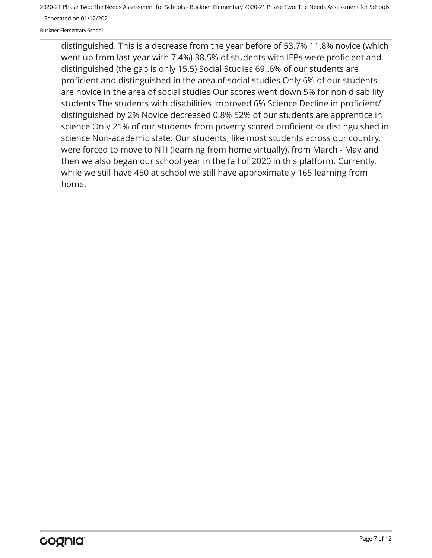2020-21 Phase Two: The Needs Assessment for Schools - Buckner Elementary 2020-21 Phase Two: The Needs Assessment for Schools

- Generated on 01/12/2021

Buckner Elementary School

distinguished. This is a decrease from the year before of 53.7% 11.8% novice (which went up from last year with 7.4%) 38.5% of students with IEPs were proficient and distinguished (the gap is only 15.5) Social Studies 69..6% of our students are proficient and distinguished in the area of social studies Only 6% of our students are novice in the area of social studies Our scores went down 5% for non disability students The students with disabilities improved 6% Science Decline in proficient/ distinguished by 2% Novice decreased 0.8% 52% of our students are apprentice in science Only 21% of our students from poverty scored proficient or distinguished in science Non-academic state: Our students, like most students across our country, were forced to move to NTI (learning from home virtually), from March - May and then we also began our school year in the fall of 2020 in this platform. Currently, while we still have 450 at school we still have approximately 165 learning from home.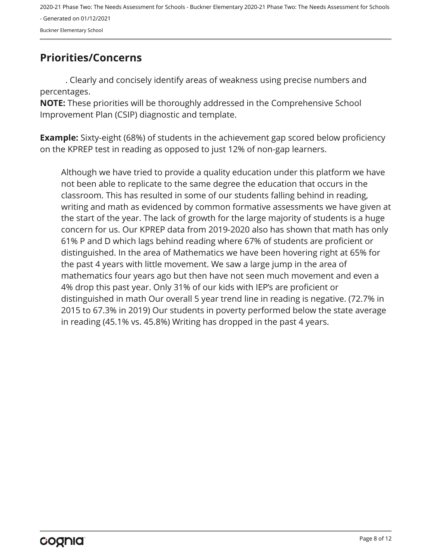<span id="page-7-0"></span>**Priorities/Concerns**

. Clearly and concisely identify areas of weakness using precise numbers and percentages.

**NOTE:** These priorities will be thoroughly addressed in the Comprehensive School Improvement Plan (CSIP) diagnostic and template.

**Example:** Sixty-eight (68%) of students in the achievement gap scored below proficiency on the KPREP test in reading as opposed to just 12% of non-gap learners.

Although we have tried to provide a quality education under this platform we have not been able to replicate to the same degree the education that occurs in the classroom. This has resulted in some of our students falling behind in reading, writing and math as evidenced by common formative assessments we have given at the start of the year. The lack of growth for the large majority of students is a huge concern for us. Our KPREP data from 2019-2020 also has shown that math has only 61% P and D which lags behind reading where 67% of students are proficient or distinguished. In the area of Mathematics we have been hovering right at 65% for the past 4 years with little movement. We saw a large jump in the area of mathematics four years ago but then have not seen much movement and even a 4% drop this past year. Only 31% of our kids with IEP's are proficient or distinguished in math Our overall 5 year trend line in reading is negative. (72.7% in 2015 to 67.3% in 2019) Our students in poverty performed below the state average in reading (45.1% vs. 45.8%) Writing has dropped in the past 4 years.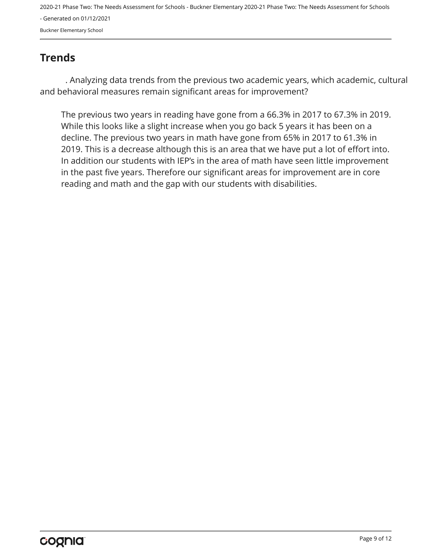<span id="page-8-0"></span>**Trends**

. Analyzing data trends from the previous two academic years, which academic, cultural and behavioral measures remain significant areas for improvement?

The previous two years in reading have gone from a 66.3% in 2017 to 67.3% in 2019. While this looks like a slight increase when you go back 5 years it has been on a decline. The previous two years in math have gone from 65% in 2017 to 61.3% in 2019. This is a decrease although this is an area that we have put a lot of effort into. In addition our students with IEP's in the area of math have seen little improvement in the past five years. Therefore our significant areas for improvement are in core reading and math and the gap with our students with disabilities.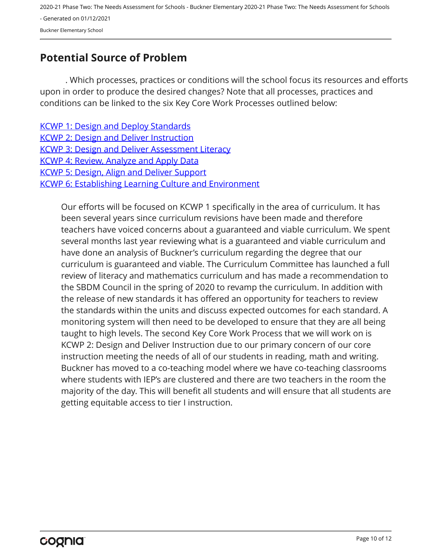## <span id="page-9-0"></span>**Potential Source of Problem**

. Which processes, practices or conditions will the school focus its resources and efforts upon in order to produce the desired changes? Note that all processes, practices and conditions can be linked to the six Key Core Work Processes outlined below:

**[KCWP 1: Design and Deploy Standards](https://education.ky.gov/school/csip/Documents/KCWP 1 Strategic Design and Deploy Standards.pdf)** [KCWP 2: Design and Deliver Instruction](https://education.ky.gov/school/csip/Documents/KCWP%202%20Strategic%20Design%20and%20Deliver%20Instruction.pdf) [KCWP 3: Design and Deliver Assessment Literacy](https://education.ky.gov/school/csip/Documents/KCWP%203%20Strategic%20Design%20and%20Deliver%20Assessment%20Literacy.pdf) [KCWP 4: Review, Analyze and Apply Data](https://education.ky.gov/school/csip/Documents/KCWP 4 Strategic Review Analyze and Apply Data.pdf) [KCWP 5: Design, Align and Deliver Support](https://education.ky.gov/school/csip/Documents/KCWP 5 Strategic Design Align Deliver Support Processes.pdf) [KCWP 6: Establishing Learning Culture and Environment](https://education.ky.gov/school/csip/Documents/KCWP 6 Strategic Establish Learning Culture and Environment.pdf)

Our efforts will be focused on KCWP 1 specifically in the area of curriculum. It has been several years since curriculum revisions have been made and therefore teachers have voiced concerns about a guaranteed and viable curriculum. We spent several months last year reviewing what is a guaranteed and viable curriculum and have done an analysis of Buckner's curriculum regarding the degree that our curriculum is guaranteed and viable. The Curriculum Committee has launched a full review of literacy and mathematics curriculum and has made a recommendation to the SBDM Council in the spring of 2020 to revamp the curriculum. In addition with the release of new standards it has offered an opportunity for teachers to review the standards within the units and discuss expected outcomes for each standard. A monitoring system will then need to be developed to ensure that they are all being taught to high levels. The second Key Core Work Process that we will work on is KCWP 2: Design and Deliver Instruction due to our primary concern of our core instruction meeting the needs of all of our students in reading, math and writing. Buckner has moved to a co-teaching model where we have co-teaching classrooms where students with IEP's are clustered and there are two teachers in the room the majority of the day. This will benefit all students and will ensure that all students are getting equitable access to tier I instruction.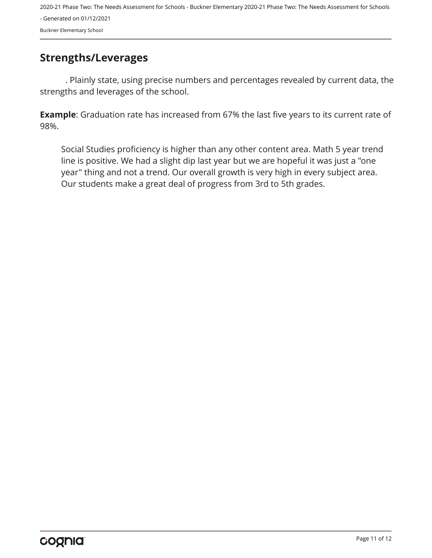### <span id="page-10-0"></span>**Strengths/Leverages**

. Plainly state, using precise numbers and percentages revealed by current data, the strengths and leverages of the school.

**Example**: Graduation rate has increased from 67% the last five years to its current rate of 98%.

Social Studies proficiency is higher than any other content area. Math 5 year trend line is positive. We had a slight dip last year but we are hopeful it was just a "one year" thing and not a trend. Our overall growth is very high in every subject area. Our students make a great deal of progress from 3rd to 5th grades.